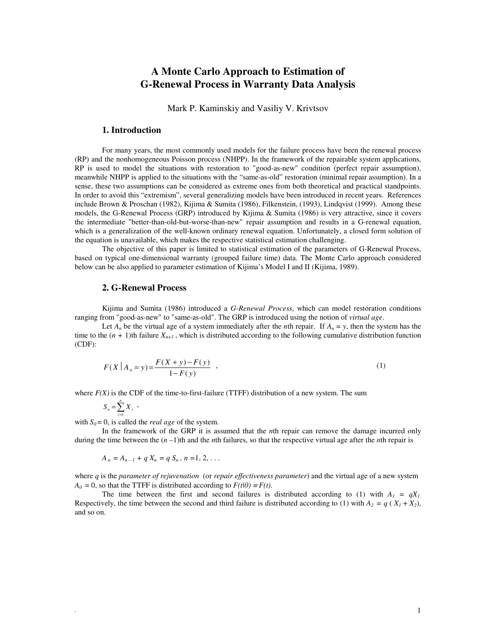# **A Monte Carlo Approach to Estimation of G-Renewal Process in Warranty Data Analysis**

Mark P. Kaminskiy and Vasiliy V. Krivtsov

#### **1. Introduction**

For many years, the most commonly used models for the failure process have been the renewal process (RP) and the nonhomogeneous Poisson process (NHPP). In the framework of the repairable system applications, RP is used to model the situations with restoration to "good-as-new" condition (perfect repair assumption), meanwhile NHPP is applied to the situations with the "same-as-old" restoration (minimal repair assumption). In a sense, these two assumptions can be considered as extreme ones from both theoretical and practical standpoints. In order to avoid this "extremism", several generalizing models have been introduced in recent years. References include Brown & Proschan (1982), Kijima & Sumita (1986), Filkenstein, (1993), Lindqvist (1999). Among these models, the G-Renewal Process (GRP) introduced by Kijima & Sumita (1986) is very attractive, since it covers the intermediate "better-than-old-but-worse-than-new" repair assumption and results in a G-renewal equation, which is a generalization of the well-known ordinary renewal equation. Unfortunately, a closed form solution of the equation is unavailable, which makes the respective statistical estimation challenging.

 The objective of this paper is limited to statistical estimation of the parameters of G-Renewal Process, based on typical one-dimensional warranty (grouped failure time) data. The Monte Carlo approach considered below can be also applied to parameter estimation of Kijima's Model I and II (Kijima, 1989).

## **2. G-Renewal Process**

Kijima and Sumita (1986) introduced a *G-Renewal Process*, which can model restoration conditions ranging from "good-as-new" to "same-as-old". The GRP is introduced using the notion of *virtual age*.

Let  $A_n$  be the virtual age of a system immediately after the *n*th repair. If  $A_n = y$ , then the system has the time to the  $(n + 1)$ th failure  $X_{n+1}$ , which is distributed according to the following cumulative distribution function (CDF):

$$
F(X | A_n = y) = \frac{F(X + y) - F(y)}{1 - F(y)} \tag{1}
$$

where  $F(X)$  is the CDF of the time-to-first-failure (TTFF) distribution of a new system. The sum

$$
S_n = \sum_{i=1}^n X_i \; ,
$$

with  $S_0 = 0$ , is called the *real age* of the system.

 In the framework of the GRP it is assumed that the *n*th repair can remove the damage incurred only during the time between the  $(n-1)$ th and the *n*th failures, so that the respective virtual age after the *n*th repair is

$$
A_n = A_{n-1} + q X_n = q S_n, n = 1, 2, ...
$$

where *q* is the *parameter of rejuvenation* (or *repair effectiveness parameter*) and the virtual age of a new system  $A_0 = 0$ , so that the TTFF is distributed according to  $F(t|0) \equiv F(t)$ .

The time between the first and second failures is distributed according to (1) with  $A_I = qX_I$ . Respectively, the time between the second and third failure is distributed according to (1) with  $A_2 = q(X_1 + X_2)$ , and so on.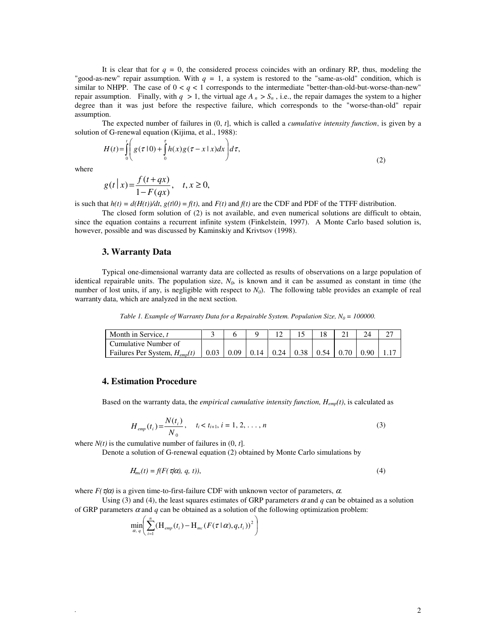It is clear that for  $q = 0$ , the considered process coincides with an ordinary RP, thus, modeling the "good-as-new" repair assumption. With *q =* 1, a system is restored to the "same-as-old" condition, which is similar to NHPP. The case of  $0 < q < 1$  corresponds to the intermediate "better-than-old-but-worse-than-new" repair assumption. Finally, with  $q > 1$ , the virtual age  $A_n > S_n$ , i.e., the repair damages the system to a higher degree than it was just before the respective failure, which corresponds to the "worse-than-old" repair assumption.

 The expected number of failures in (0, *t*], which is called a *cumulative intensity function*, is given by a solution of G-renewal equation (Kijima, et al., 1988):

$$
H(t) = \int_{0}^{t} \left( g(\tau | 0) + \int_{0}^{\tau} h(x)g(\tau - x | x)dx \right) d\tau,
$$
\n(2)

where

$$
g(t|x) = \frac{f(t+qx)}{1-F(qx)}, \quad t, x \ge 0,
$$

is such that  $h(t) = d(H(t))/dt$ ,  $g(t|0) = f(t)$ , and  $F(t)$  and  $f(t)$  are the CDF and PDF of the TTFF distribution.

The closed form solution of (2) is not available, and even numerical solutions are difficult to obtain, since the equation contains a recurrent infinite system (Finkelstein, 1997). A Monte Carlo based solution is, however, possible and was discussed by Kaminskiy and Krivtsov (1998).

#### **3. Warranty Data**

Typical one-dimensional warranty data are collected as results of observations on a large population of identical repairable units. The population size, *N0,* is known and it can be assumed as constant in time (the number of lost units, if any, is negligible with respect to  $N<sub>0</sub>$ ). The following table provides an example of real warranty data, which are analyzed in the next section.

*Table 1. Example of Warranty Data for a Repairable System. Population Size, N<sup>0</sup> = 100000.*

| Month in Service, t               |      |      |  |                                                          |  |  |
|-----------------------------------|------|------|--|----------------------------------------------------------|--|--|
| l Cumulative Number of            |      |      |  |                                                          |  |  |
| Failures Per System, $H_{emp}(t)$ | 0.03 | 0.09 |  | $\vert 0.14 \vert 0.24 \vert 0.38 \vert 0.54 \vert 0.70$ |  |  |

## **4. Estimation Procedure**

Based on the warranty data, the *empirical cumulative intensity function, Hemp(t)*, is calculated as

$$
H_{emp}(t_i) = \frac{N(t_i)}{N_0}, \quad t_i < t_{i+1}, \, i = 1, 2, \dots, n \tag{3}
$$

where  $N(t)$  is the cumulative number of failures in  $(0, t]$ .

Denote a solution of G-renewal equation (2) obtained by Monte Carlo simulations by

$$
H_{mc}(t) = f(F(\tau/\alpha), q, t)),
$$
\n(4)

where  $F(\tau/\alpha)$  is a given time-to-first-failure CDF with unknown vector of parameters,  $\alpha$ .

Using (3) and (4), the least squares estimates of GRP parameters  $\alpha$  and  $q$  can be obtained as a solution of GRP parameters  $\alpha$  and  $q$  can be obtained as a solution of the following optimization problem:

$$
\min_{\alpha, \ q}\!\!\left(\sum_{i=1}^{n}\!\left(\boldsymbol{\mathrm{H}}_{\mathit{emp}}\left(t_{i}\right)\!-\!\boldsymbol{\mathrm{H}}_{\mathit{mc}}\left(F\!\left(\,\mathcal{T}\,|\,\boldsymbol{\alpha}\right)\!,\!q,\!t_{i}\right)\right)^{2}\right)
$$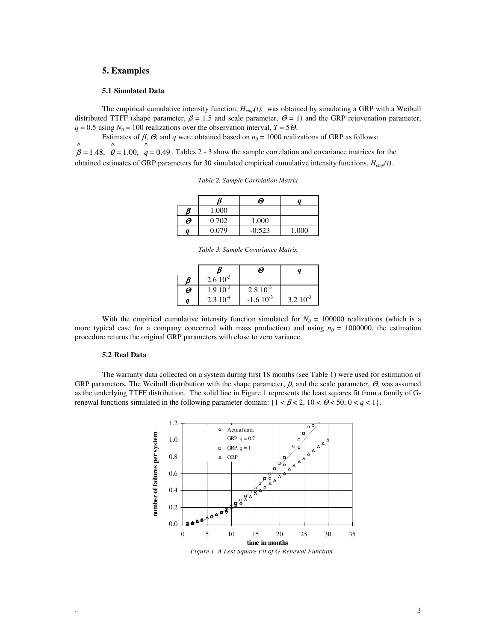### **5. Examples**

#### **5.1 Simulated Data**

The empirical cumulative intensity function, *Hemp(t)*, was obtained by simulating a GRP with a Weibull distributed TTFF (shape parameter,  $\beta = 1.5$  and scale parameter,  $\Theta = 1$ ) and the GRP rejuvenation parameter,  $q = 0.5$  using  $N_0 = 100$  realizations over the observation interval,  $T = 5\Theta$ .

Estimates of  $\beta$ ,  $\Theta$ , and  $q$  were obtained based on  $n_0 = 1000$  realizations of GRP as follows: 0.49  $\wedge$ 1.00, ^ 1.48, ^  $\beta = 1.48$ ,  $\theta = 1.00$ ,  $q = 0.49$ . Tables 2 - 3 show the sample correlation and covariance matrices for the

obtained estimates of GRP parameters for 30 simulated empirical cumulative intensity functions, *Hemp(t)*.

*Table 2. Sample Correlation Matrix* 

|   |       | Θ        |       |
|---|-------|----------|-------|
| ß | 1.000 |          |       |
| Θ | 0.702 | 1.000    |       |
| a | 0.079 | $-0.523$ | 1.000 |

*Table 3. Sample Covariance Matrix* 

|   |              | Θ             |              |
|---|--------------|---------------|--------------|
|   | $2.610^{-3}$ |               |              |
| Θ | $1.910^{-3}$ | $2.810^{-3}$  |              |
|   | $2.310^{-4}$ | $-1.610^{-3}$ | $3.210^{-3}$ |

With the empirical cumulative intensity function simulated for  $N_0 = 100000$  realizations (which is a more typical case for a company concerned with mass production) and using  $n<sub>0</sub> = 1000000$ , the estimation procedure returns the original GRP parameters with close to zero variance.

#### **5.2 Real Data**

The warranty data collected on a system during first 18 months (see Table 1) were used for estimation of GRP parameters. The Weibull distribution with the shape parameter,  $\beta$ , and the scale parameter,  $\Theta$ , was assumed as the underlying TTFF distribution. The solid line in Figure 1 represents the least squares fit from a family of Grenewal functions simulated in the following parameter domain:  $\{1 < \beta < 2, 10 < \Theta < 50, 0 < q < 1\}$ .



*Figure 1. A Lest Square Fit of G-Renewal Function*